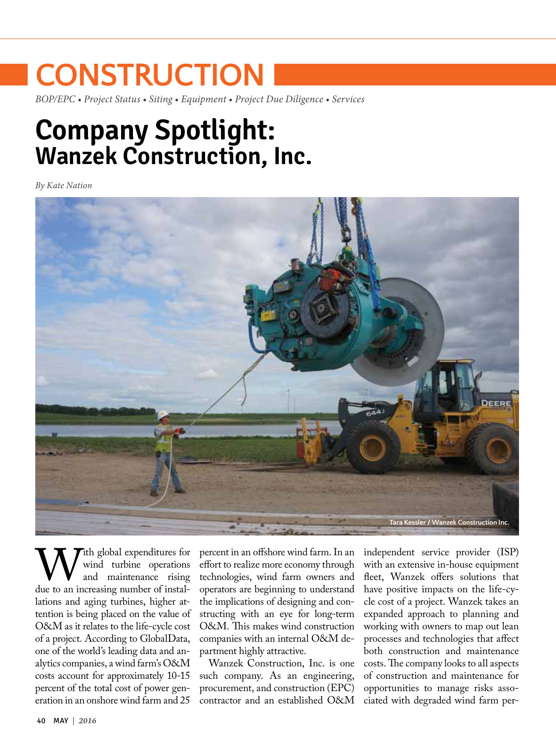# **CONSTRUCTION**

*BOP/EPC • Project Status • Siting • Equipment • Project Due Diligence • Services*

## **Company Spotlight: Wanzek Construction, Inc.**

*By Kate Nation*



With global expenditures for<br>
and turbine operations<br>
due to an increasing number of instalwind turbine operations and maintenance rising lations and aging turbines, higher attention is being placed on the value of O&M as it relates to the life-cycle cost of a project. According to GlobalData, one of the world's leading data and analytics companies, a wind farm's O&M costs account for approximately 10-15 percent of the total cost of power generation in an onshore wind farm and 25

percent in an offshore wind farm. In an effort to realize more economy through technologies, wind farm owners and operators are beginning to understand the implications of designing and constructing with an eye for long-term O&M. This makes wind construction companies with an internal O&M department highly attractive.

Wanzek Construction, Inc. is one such company. As an engineering, procurement, and construction (EPC) contractor and an established O&M independent service provider (ISP) with an extensive in-house equipment fleet, Wanzek offers solutions that have positive impacts on the life-cycle cost of a project. Wanzek takes an expanded approach to planning and working with owners to map out lean processes and technologies that affect both construction and maintenance costs. The company looks to all aspects of construction and maintenance for opportunities to manage risks associated with degraded wind farm per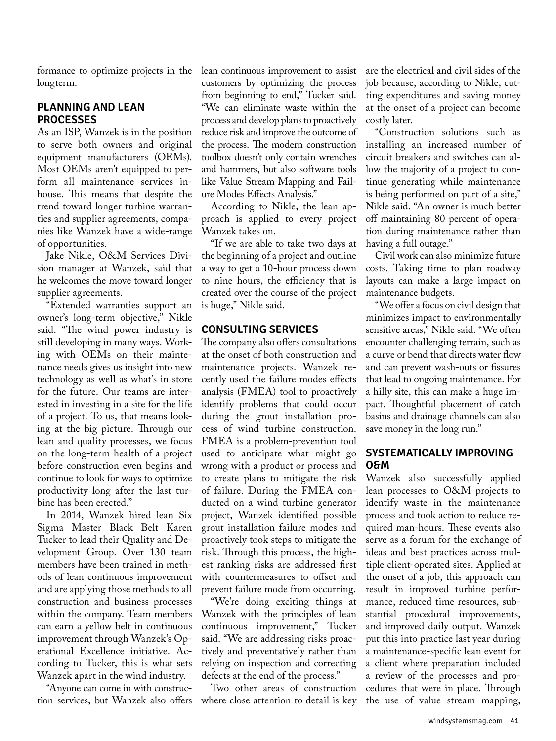formance to optimize projects in the longterm.

#### **PLANNING AND LEAN PROCESSES**

As an ISP, Wanzek is in the position to serve both owners and original equipment manufacturers (OEMs). Most OEMs aren't equipped to perform all maintenance services inhouse. This means that despite the trend toward longer turbine warranties and supplier agreements, companies like Wanzek have a wide-range of opportunities.

Jake Nikle, O&M Services Division manager at Wanzek, said that he welcomes the move toward longer supplier agreements.

"Extended warranties support an owner's long-term objective," Nikle said. "The wind power industry is still developing in many ways. Working with OEMs on their maintenance needs gives us insight into new technology as well as what's in store for the future. Our teams are interested in investing in a site for the life of a project. To us, that means looking at the big picture. Through our lean and quality processes, we focus on the long-term health of a project before construction even begins and continue to look for ways to optimize productivity long after the last turbine has been erected."

In 2014, Wanzek hired lean Six Sigma Master Black Belt Karen Tucker to lead their Quality and Development Group. Over 130 team members have been trained in methods of lean continuous improvement and are applying those methods to all construction and business processes within the company. Team members can earn a yellow belt in continuous improvement through Wanzek's Operational Excellence initiative. According to Tucker, this is what sets Wanzek apart in the wind industry.

"Anyone can come in with construction services, but Wanzek also offers lean continuous improvement to assist customers by optimizing the process from beginning to end," Tucker said. "We can eliminate waste within the process and develop plans to proactively reduce risk and improve the outcome of the process. The modern construction toolbox doesn't only contain wrenches and hammers, but also software tools like Value Stream Mapping and Failure Modes Effects Analysis."

According to Nikle, the lean approach is applied to every project Wanzek takes on.

"If we are able to take two days at the beginning of a project and outline a way to get a 10-hour process down to nine hours, the efficiency that is created over the course of the project is huge," Nikle said.

#### **CONSULTING SERVICES**

The company also offers consultations at the onset of both construction and maintenance projects. Wanzek recently used the failure modes effects analysis (FMEA) tool to proactively identify problems that could occur during the grout installation process of wind turbine construction. FMEA is a problem-prevention tool used to anticipate what might go wrong with a product or process and to create plans to mitigate the risk of failure. During the FMEA conducted on a wind turbine generator project, Wanzek identified possible grout installation failure modes and proactively took steps to mitigate the risk. Through this process, the highest ranking risks are addressed first with countermeasures to offset and prevent failure mode from occurring.

"We're doing exciting things at Wanzek with the principles of lean continuous improvement," Tucker said. "We are addressing risks proactively and preventatively rather than relying on inspection and correcting defects at the end of the process."

Two other areas of construction where close attention to detail is key are the electrical and civil sides of the job because, according to Nikle, cutting expenditures and saving money at the onset of a project can become costly later.

"Construction solutions such as installing an increased number of circuit breakers and switches can allow the majority of a project to continue generating while maintenance is being performed on part of a site," Nikle said. "An owner is much better off maintaining 80 percent of operation during maintenance rather than having a full outage."

Civil work can also minimize future costs. Taking time to plan roadway layouts can make a large impact on maintenance budgets.

"We offer a focus on civil design that minimizes impact to environmentally sensitive areas," Nikle said. "We often encounter challenging terrain, such as a curve or bend that directs water flow and can prevent wash-outs or fissures that lead to ongoing maintenance. For a hilly site, this can make a huge impact. Thoughtful placement of catch basins and drainage channels can also save money in the long run."

#### **SYSTEMATICALLY IMPROVING O&M**

Wanzek also successfully applied lean processes to O&M projects to identify waste in the maintenance process and took action to reduce required man-hours. These events also serve as a forum for the exchange of ideas and best practices across multiple client-operated sites. Applied at the onset of a job, this approach can result in improved turbine performance, reduced time resources, substantial procedural improvements, and improved daily output. Wanzek put this into practice last year during a maintenance-specific lean event for a client where preparation included a review of the processes and procedures that were in place. Through the use of value stream mapping,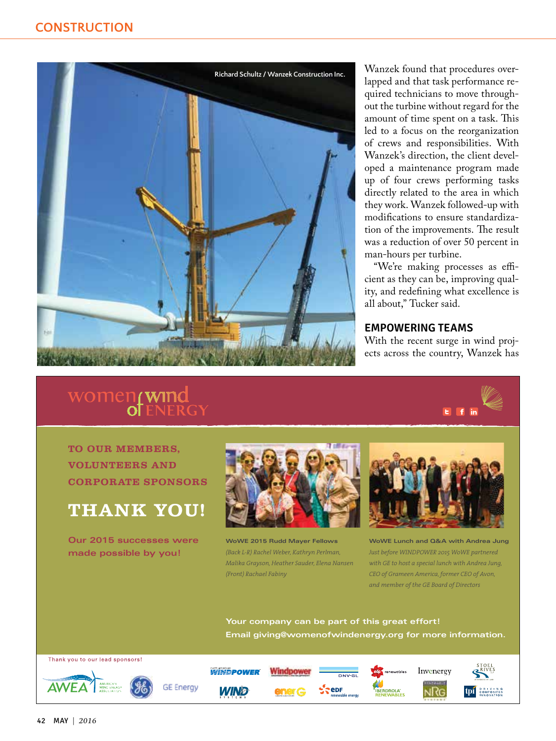

Wanzek found that procedures overlapped and that task performance required technicians to move throughout the turbine without regard for the amount of time spent on a task. This led to a focus on the reorganization of crews and responsibilities. With Wanzek's direction, the client developed a maintenance program made up of four crews performing tasks directly related to the area in which they work. Wanzek followed-up with modifications to ensure standardization of the improvements. The result was a reduction of over 50 percent in man-hours per turbine.

"We're making processes as efficient as they can be, improving quality, and redefining what excellence is all about," Tucker said.

#### **EMPOWERING TEAMS**

With the recent surge in wind projects across the country, Wanzek has

## women<sub>f</sub> wind<br>of ENERGY



**TO OUR MEMBERS, VOLUNTEERS AND CORPORATE SPONSORS**

### **THANK YOU!**

**Our 2015 successes were made possible by you!**



**WoWE 2015 Rudd Mayer Fellows** *(Back L-R) Rachel Weber, Kathryn Perlman, Malika Grayson, Heather Sauder, Elena Nansen (Front) Rachael Fabiny*



**WoWE Lunch and Q&A with Andrea Jung** *Just before WINDPOWER 2015 WoWE partnered with GE to host a special lunch with Andrea Jung, CEO of Grameen America, former CEO of Avon, and member of the GE Board of Directors*

**Your company can be part of this great effort! Email [giving@womenofwindenergy.org fo](mailto:giving@womenofwindenergy.org?subject=Referred by Wind Systems)r more information.**